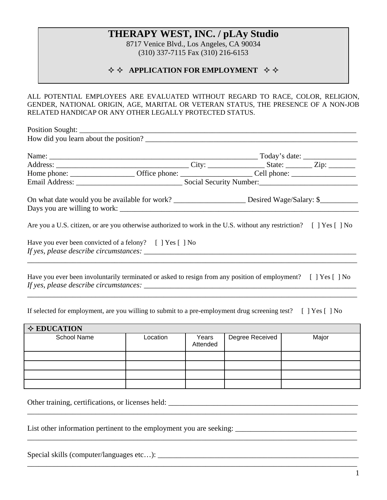# **THERAPY WEST, INC. / pLAy Studio**

8717 Venice Blvd., Los Angeles, CA 90034 (310) 337-7115 Fax (310) 216-6153

#### $\diamond$  $\diamond$  **APPLICATION FOR EMPLOYMENT**  $\diamond$  $\diamond$

ALL POTENTIAL EMPLOYEES ARE EVALUATED WITHOUT REGARD TO RACE, COLOR, RELIGION, GENDER, NATIONAL ORIGIN, AGE, MARITAL OR VETERAN STATUS, THE PRESENCE OF A NON-JOB RELATED HANDICAP OR ANY OTHER LEGALLY PROTECTED STATUS.

| Are you a U.S. citizen, or are you otherwise authorized to work in the U.S. without any restriction? [] Yes [] No |  |  |  |  |  |
|-------------------------------------------------------------------------------------------------------------------|--|--|--|--|--|
| Have you ever been convicted of a felony? [ ] Yes [ ] No                                                          |  |  |  |  |  |
| Have you ever been involuntarily terminated or asked to resign from any position of employment? [ ] Yes [ ] No    |  |  |  |  |  |

If selected for employment, are you willing to submit to a pre-employment drug screening test? [ ] Yes [ ] No

\_\_\_\_\_\_\_\_\_\_\_\_\_\_\_\_\_\_\_\_\_\_\_\_\_\_\_\_\_\_\_\_\_\_\_\_\_\_\_\_\_\_\_\_\_\_\_\_\_\_\_\_\_\_\_\_\_\_\_\_\_\_\_\_\_\_\_\_\_\_\_\_\_\_\_\_\_\_\_\_\_\_\_\_\_\_\_

| $\Diamond$ EDUCATION |          |                   |                 |       |
|----------------------|----------|-------------------|-----------------|-------|
| School Name          | Location | Years<br>Attended | Degree Received | Major |
|                      |          |                   |                 |       |
|                      |          |                   |                 |       |
|                      |          |                   |                 |       |
|                      |          |                   |                 |       |

\_\_\_\_\_\_\_\_\_\_\_\_\_\_\_\_\_\_\_\_\_\_\_\_\_\_\_\_\_\_\_\_\_\_\_\_\_\_\_\_\_\_\_\_\_\_\_\_\_\_\_\_\_\_\_\_\_\_\_\_\_\_\_\_\_\_\_\_\_\_\_\_\_\_\_\_\_\_\_\_\_\_\_\_\_\_\_

\_\_\_\_\_\_\_\_\_\_\_\_\_\_\_\_\_\_\_\_\_\_\_\_\_\_\_\_\_\_\_\_\_\_\_\_\_\_\_\_\_\_\_\_\_\_\_\_\_\_\_\_\_\_\_\_\_\_\_\_\_\_\_\_\_\_\_\_\_\_\_\_\_\_\_\_\_\_\_\_\_\_\_\_\_\_\_

\_\_\_\_\_\_\_\_\_\_\_\_\_\_\_\_\_\_\_\_\_\_\_\_\_\_\_\_\_\_\_\_\_\_\_\_\_\_\_\_\_\_\_\_\_\_\_\_\_\_\_\_\_\_\_\_\_\_\_\_\_\_\_\_\_\_\_\_\_\_\_\_\_\_\_\_\_\_\_\_\_\_\_\_\_\_\_

Other training, certifications, or licenses held: \_\_\_\_\_\_\_\_\_\_\_\_\_\_\_\_\_\_\_\_\_\_\_\_\_\_\_\_\_\_\_\_\_\_\_\_\_\_\_\_\_\_\_\_\_\_\_\_\_\_

List other information pertinent to the employment you are seeking: \_\_\_\_\_\_\_\_\_\_\_\_\_\_\_\_\_\_\_\_\_\_\_\_\_\_\_\_\_\_\_\_

Special skills (computer/languages etc…): \_\_\_\_\_\_\_\_\_\_\_\_\_\_\_\_\_\_\_\_\_\_\_\_\_\_\_\_\_\_\_\_\_\_\_\_\_\_\_\_\_\_\_\_\_\_\_\_\_\_\_\_\_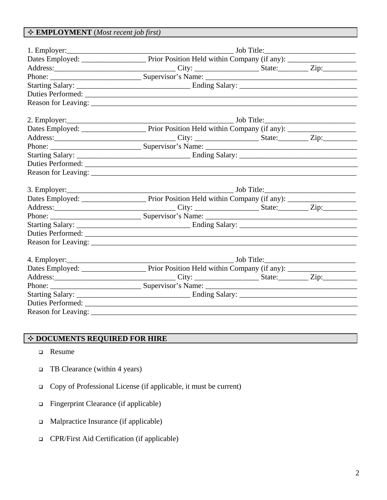## **EMPLOYMENT** (*Most recent job first)*

| Address: Zip: City: City: State: Zip:      |  |  |  |  |
|--------------------------------------------|--|--|--|--|
|                                            |  |  |  |  |
|                                            |  |  |  |  |
|                                            |  |  |  |  |
|                                            |  |  |  |  |
|                                            |  |  |  |  |
|                                            |  |  |  |  |
| Address: Zip: City: City: State: Zip: Zip: |  |  |  |  |
|                                            |  |  |  |  |
|                                            |  |  |  |  |
|                                            |  |  |  |  |
|                                            |  |  |  |  |

### **DOCUMENTS REQUIRED FOR HIRE**

- **Q** Resume
- $\Box$  TB Clearance (within 4 years)
- Copy of Professional License (if applicable, it must be current)
- Fingerprint Clearance (if applicable)
- Malpractice Insurance (if applicable)
- CPR/First Aid Certification (if applicable)